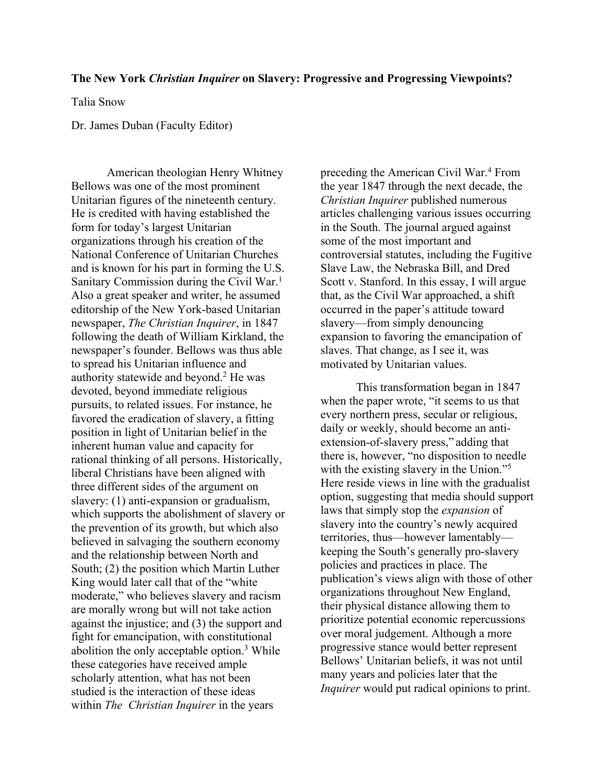## **The New York** *Christian Inquirer* **on Slavery: Progressive and Progressing Viewpoints?**

Talia Snow

Dr. James Duban (Faculty Editor)

American theologian Henry Whitney Bellows was one of the most prominent Unitarian figures of the nineteenth century. He is credited with having established the form for today's largest Unitarian organizations through his creation of the National Conference of Unitarian Churches and is known for his part in forming the U.S. Sanitary Commission during the Civil War.<sup>1</sup> Also a great speaker and writer, he assumed editorship of the New York-based Unitarian newspaper, *The Christian Inquirer*, in 1847 following the death of William Kirkland, the newspaper's founder. Bellows was thus able to spread his Unitarian influence and authority statewide and beyond.2 He was devoted, beyond immediate religious pursuits, to related issues. For instance, he favored the eradication of slavery, a fitting position in light of Unitarian belief in the inherent human value and capacity for rational thinking of all persons. Historically, liberal Christians have been aligned with three different sides of the argument on slavery: (1) anti-expansion or gradualism, which supports the abolishment of slavery or the prevention of its growth, but which also believed in salvaging the southern economy and the relationship between North and South; (2) the position which Martin Luther King would later call that of the "white moderate," who believes slavery and racism are morally wrong but will not take action against the injustice; and (3) the support and fight for emancipation, with constitutional abolition the only acceptable option. <sup>3</sup> While these categories have received ample scholarly attention, what has not been studied is the interaction of these ideas within *The Christian Inquirer* in the years

preceding the American Civil War.4 From the year 1847 through the next decade, the *Christian Inquirer* published numerous articles challenging various issues occurring in the South. The journal argued against some of the most important and controversial statutes, including the Fugitive Slave Law, the Nebraska Bill, and Dred Scott v. Stanford. In this essay, I will argue that, as the Civil War approached, a shift occurred in the paper's attitude toward slavery—from simply denouncing expansion to favoring the emancipation of slaves. That change, as I see it, was motivated by Unitarian values.

This transformation began in 1847 when the paper wrote, "it seems to us that every northern press, secular or religious, daily or weekly, should become an antiextension-of-slavery press," adding that there is, however, "no disposition to needle with the existing slavery in the Union."<sup>5</sup> Here reside views in line with the gradualist option, suggesting that media should support laws that simply stop the *expansion* of slavery into the country's newly acquired territories, thus—however lamentably keeping the South's generally pro-slavery policies and practices in place. The publication's views align with those of other organizations throughout New England, their physical distance allowing them to prioritize potential economic repercussions over moral judgement. Although a more progressive stance would better represent Bellows' Unitarian beliefs, it was not until many years and policies later that the *Inquirer* would put radical opinions to print.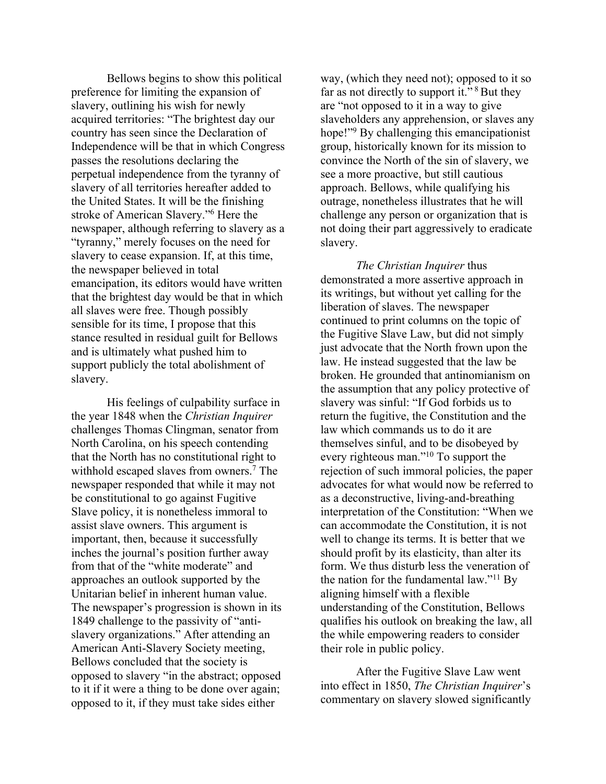Bellows begins to show this political preference for limiting the expansion of slavery, outlining his wish for newly acquired territories: "The brightest day our country has seen since the Declaration of Independence will be that in which Congress passes the resolutions declaring the perpetual independence from the tyranny of slavery of all territories hereafter added to the United States. It will be the finishing stroke of American Slavery."6 Here the newspaper, although referring to slavery as a "tyranny," merely focuses on the need for slavery to cease expansion. If, at this time, the newspaper believed in total emancipation, its editors would have written that the brightest day would be that in which all slaves were free. Though possibly sensible for its time, I propose that this stance resulted in residual guilt for Bellows and is ultimately what pushed him to support publicly the total abolishment of slavery.

His feelings of culpability surface in the year 1848 when the *Christian Inquirer*  challenges Thomas Clingman, senator from North Carolina, on his speech contending that the North has no constitutional right to withhold escaped slaves from owners.<sup>7</sup> The newspaper responded that while it may not be constitutional to go against Fugitive Slave policy, it is nonetheless immoral to assist slave owners. This argument is important, then, because it successfully inches the journal's position further away from that of the "white moderate" and approaches an outlook supported by the Unitarian belief in inherent human value. The newspaper's progression is shown in its 1849 challenge to the passivity of "antislavery organizations." After attending an American Anti-Slavery Society meeting, Bellows concluded that the society is opposed to slavery "in the abstract; opposed to it if it were a thing to be done over again; opposed to it, if they must take sides either

way, (which they need not); opposed to it so far as not directly to support it."<sup>8</sup> But they are "not opposed to it in a way to give slaveholders any apprehension, or slaves any hope!"<sup>9</sup> By challenging this emancipationist group, historically known for its mission to convince the North of the sin of slavery, we see a more proactive, but still cautious approach. Bellows, while qualifying his outrage, nonetheless illustrates that he will challenge any person or organization that is not doing their part aggressively to eradicate slavery.

*The Christian Inquirer* thus demonstrated a more assertive approach in its writings, but without yet calling for the liberation of slaves. The newspaper continued to print columns on the topic of the Fugitive Slave Law, but did not simply just advocate that the North frown upon the law. He instead suggested that the law be broken. He grounded that antinomianism on the assumption that any policy protective of slavery was sinful: "If God forbids us to return the fugitive, the Constitution and the law which commands us to do it are themselves sinful, and to be disobeyed by every righteous man."10 To support the rejection of such immoral policies, the paper advocates for what would now be referred to as a deconstructive, living-and-breathing interpretation of the Constitution: "When we can accommodate the Constitution, it is not well to change its terms. It is better that we should profit by its elasticity, than alter its form. We thus disturb less the veneration of the nation for the fundamental law."11 By aligning himself with a flexible understanding of the Constitution, Bellows qualifies his outlook on breaking the law, all the while empowering readers to consider their role in public policy.

After the Fugitive Slave Law went into effect in 1850, *The Christian Inquirer*'s commentary on slavery slowed significantly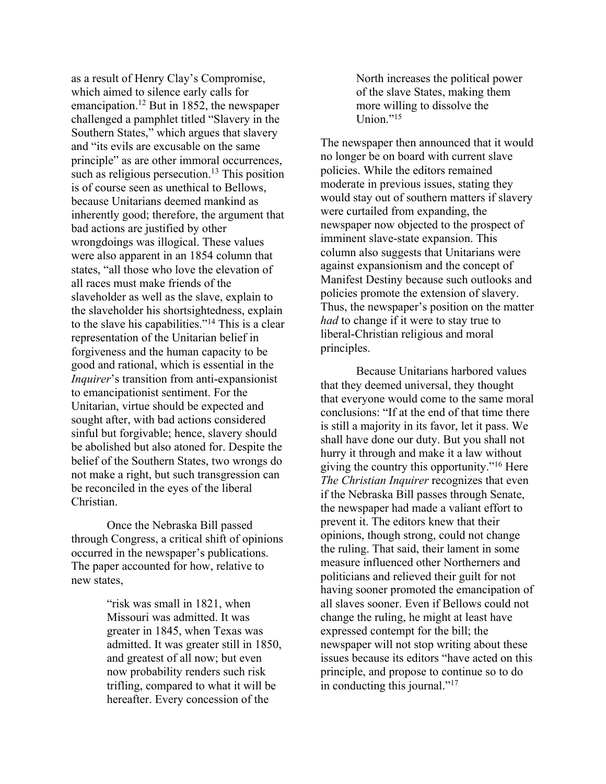as a result of Henry Clay's Compromise, which aimed to silence early calls for emancipation.12 But in 1852, the newspaper challenged a pamphlet titled "Slavery in the Southern States," which argues that slavery and "its evils are excusable on the same principle" as are other immoral occurrences, such as religious persecution.<sup>13</sup> This position is of course seen as unethical to Bellows, because Unitarians deemed mankind as inherently good; therefore, the argument that bad actions are justified by other wrongdoings was illogical. These values were also apparent in an 1854 column that states, "all those who love the elevation of all races must make friends of the slaveholder as well as the slave, explain to the slaveholder his shortsightedness, explain to the slave his capabilities."14 This is a clear representation of the Unitarian belief in forgiveness and the human capacity to be good and rational, which is essential in the *Inquirer*'s transition from anti-expansionist to emancipationist sentiment. For the Unitarian, virtue should be expected and sought after, with bad actions considered sinful but forgivable; hence, slavery should be abolished but also atoned for. Despite the belief of the Southern States, two wrongs do not make a right, but such transgression can be reconciled in the eyes of the liberal Christian.

Once the Nebraska Bill passed through Congress, a critical shift of opinions occurred in the newspaper's publications. The paper accounted for how, relative to new states,

> "risk was small in 1821, when Missouri was admitted. It was greater in 1845, when Texas was admitted. It was greater still in 1850, and greatest of all now; but even now probability renders such risk trifling, compared to what it will be hereafter. Every concession of the

North increases the political power of the slave States, making them more willing to dissolve the Union." $15$ 

The newspaper then announced that it would no longer be on board with current slave policies. While the editors remained moderate in previous issues, stating they would stay out of southern matters if slavery were curtailed from expanding, the newspaper now objected to the prospect of imminent slave-state expansion. This column also suggests that Unitarians were against expansionism and the concept of Manifest Destiny because such outlooks and policies promote the extension of slavery. Thus, the newspaper's position on the matter *had* to change if it were to stay true to liberal-Christian religious and moral principles.

Because Unitarians harbored values that they deemed universal, they thought that everyone would come to the same moral conclusions: "If at the end of that time there is still a majority in its favor, let it pass. We shall have done our duty. But you shall not hurry it through and make it a law without giving the country this opportunity."16 Here *The Christian Inquirer* recognizes that even if the Nebraska Bill passes through Senate, the newspaper had made a valiant effort to prevent it. The editors knew that their opinions, though strong, could not change the ruling. That said, their lament in some measure influenced other Northerners and politicians and relieved their guilt for not having sooner promoted the emancipation of all slaves sooner. Even if Bellows could not change the ruling, he might at least have expressed contempt for the bill; the newspaper will not stop writing about these issues because its editors "have acted on this principle, and propose to continue so to do in conducting this journal." $^{17}$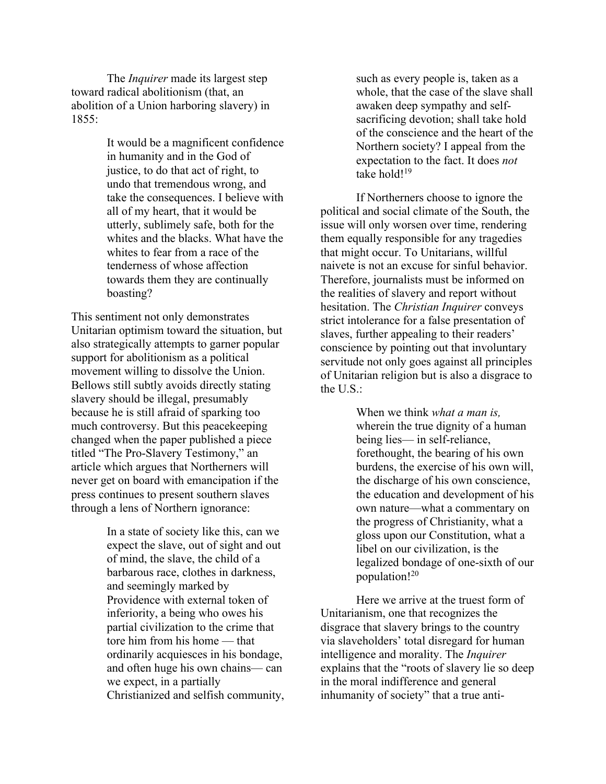The *Inquirer* made its largest step toward radical abolitionism (that, an abolition of a Union harboring slavery) in 1855:

> It would be a magnificent confidence in humanity and in the God of justice, to do that act of right, to undo that tremendous wrong, and take the consequences. I believe with all of my heart, that it would be utterly, sublimely safe, both for the whites and the blacks. What have the whites to fear from a race of the tenderness of whose affection towards them they are continually boasting?

This sentiment not only demonstrates Unitarian optimism toward the situation, but also strategically attempts to garner popular support for abolitionism as a political movement willing to dissolve the Union. Bellows still subtly avoids directly stating slavery should be illegal, presumably because he is still afraid of sparking too much controversy. But this peacekeeping changed when the paper published a piece titled "The Pro-Slavery Testimony," an article which argues that Northerners will never get on board with emancipation if the press continues to present southern slaves through a lens of Northern ignorance:

> In a state of society like this, can we expect the slave, out of sight and out of mind, the slave, the child of a barbarous race, clothes in darkness, and seemingly marked by Providence with external token of inferiority, a being who owes his partial civilization to the crime that tore him from his home — that ordinarily acquiesces in his bondage, and often huge his own chains— can we expect, in a partially Christianized and selfish community,

such as every people is, taken as a whole, that the case of the slave shall awaken deep sympathy and selfsacrificing devotion; shall take hold of the conscience and the heart of the Northern society? I appeal from the expectation to the fact. It does *not* take hold!<sup>19</sup>

If Northerners choose to ignore the political and social climate of the South, the issue will only worsen over time, rendering them equally responsible for any tragedies that might occur. To Unitarians, willful naivete is not an excuse for sinful behavior. Therefore, journalists must be informed on the realities of slavery and report without hesitation. The *Christian Inquirer* conveys strict intolerance for a false presentation of slaves, further appealing to their readers' conscience by pointing out that involuntary servitude not only goes against all principles of Unitarian religion but is also a disgrace to the U.S.:

> When we think *what a man is,* wherein the true dignity of a human being lies— in self-reliance, forethought, the bearing of his own burdens, the exercise of his own will, the discharge of his own conscience, the education and development of his own nature—what a commentary on the progress of Christianity, what a gloss upon our Constitution, what a libel on our civilization, is the legalized bondage of one-sixth of our population!20

Here we arrive at the truest form of Unitarianism, one that recognizes the disgrace that slavery brings to the country via slaveholders' total disregard for human intelligence and morality. The *Inquirer*  explains that the "roots of slavery lie so deep in the moral indifference and general inhumanity of society" that a true anti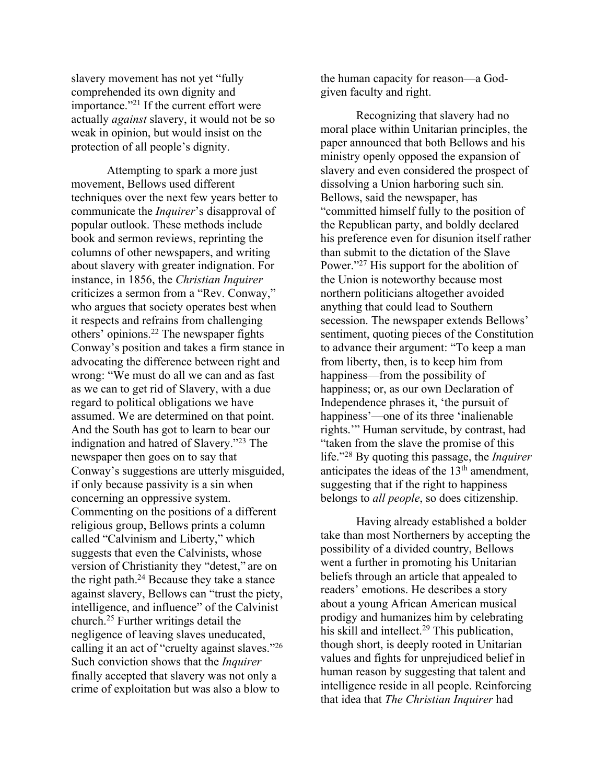slavery movement has not yet "fully comprehended its own dignity and importance."21 If the current effort were actually *against* slavery, it would not be so weak in opinion, but would insist on the protection of all people's dignity.

Attempting to spark a more just movement, Bellows used different techniques over the next few years better to communicate the *Inquirer*'s disapproval of popular outlook. These methods include book and sermon reviews, reprinting the columns of other newspapers, and writing about slavery with greater indignation. For instance, in 1856, the *Christian Inquirer* criticizes a sermon from a "Rev. Conway," who argues that society operates best when it respects and refrains from challenging others' opinions.22 The newspaper fights Conway's position and takes a firm stance in advocating the difference between right and wrong: "We must do all we can and as fast as we can to get rid of Slavery, with a due regard to political obligations we have assumed. We are determined on that point. And the South has got to learn to bear our indignation and hatred of Slavery."23 The newspaper then goes on to say that Conway's suggestions are utterly misguided, if only because passivity is a sin when concerning an oppressive system. Commenting on the positions of a different religious group, Bellows prints a column called "Calvinism and Liberty," which suggests that even the Calvinists, whose version of Christianity they "detest," are on the right path.24 Because they take a stance against slavery, Bellows can "trust the piety, intelligence, and influence" of the Calvinist church.25 Further writings detail the negligence of leaving slaves uneducated, calling it an act of "cruelty against slaves."26 Such conviction shows that the *Inquirer* finally accepted that slavery was not only a crime of exploitation but was also a blow to

the human capacity for reason—a Godgiven faculty and right.

Recognizing that slavery had no moral place within Unitarian principles, the paper announced that both Bellows and his ministry openly opposed the expansion of slavery and even considered the prospect of dissolving a Union harboring such sin. Bellows, said the newspaper, has "committed himself fully to the position of the Republican party, and boldly declared his preference even for disunion itself rather than submit to the dictation of the Slave Power."<sup>27</sup> His support for the abolition of the Union is noteworthy because most northern politicians altogether avoided anything that could lead to Southern secession. The newspaper extends Bellows' sentiment, quoting pieces of the Constitution to advance their argument: "To keep a man from liberty, then, is to keep him from happiness—from the possibility of happiness; or, as our own Declaration of Independence phrases it, 'the pursuit of happiness'—one of its three 'inalienable rights.'" Human servitude, by contrast, had "taken from the slave the promise of this life."28 By quoting this passage, the *Inquirer* anticipates the ideas of the  $13<sup>th</sup>$  amendment, suggesting that if the right to happiness belongs to *all people*, so does citizenship.

Having already established a bolder take than most Northerners by accepting the possibility of a divided country, Bellows went a further in promoting his Unitarian beliefs through an article that appealed to readers' emotions. He describes a story about a young African American musical prodigy and humanizes him by celebrating his skill and intellect.<sup>29</sup> This publication, though short, is deeply rooted in Unitarian values and fights for unprejudiced belief in human reason by suggesting that talent and intelligence reside in all people. Reinforcing that idea that *The Christian Inquirer* had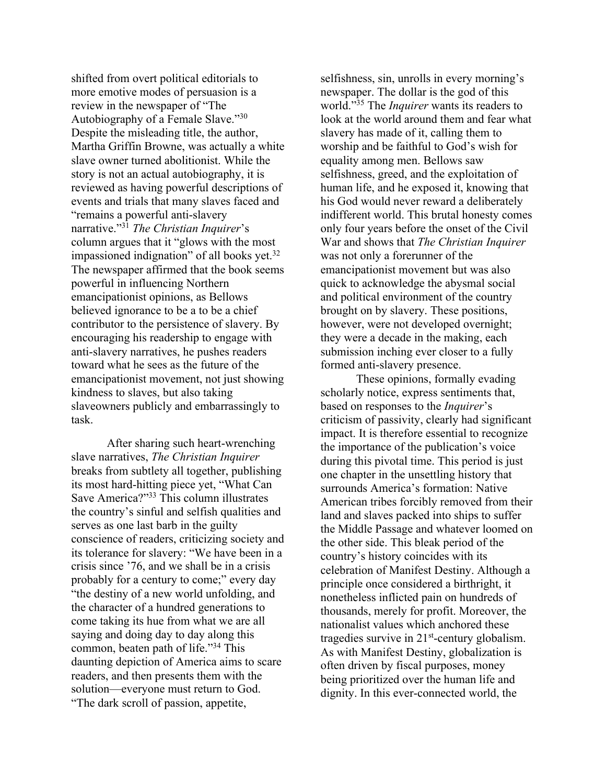shifted from overt political editorials to more emotive modes of persuasion is a review in the newspaper of "The Autobiography of a Female Slave."30 Despite the misleading title, the author, Martha Griffin Browne, was actually a white slave owner turned abolitionist. While the story is not an actual autobiography, it is reviewed as having powerful descriptions of events and trials that many slaves faced and "remains a powerful anti-slavery narrative."31 *The Christian Inquirer*'s column argues that it "glows with the most impassioned indignation" of all books yet.<sup>32</sup> The newspaper affirmed that the book seems powerful in influencing Northern emancipationist opinions, as Bellows believed ignorance to be a to be a chief contributor to the persistence of slavery. By encouraging his readership to engage with anti-slavery narratives, he pushes readers toward what he sees as the future of the emancipationist movement, not just showing kindness to slaves, but also taking slaveowners publicly and embarrassingly to task.

After sharing such heart-wrenching slave narratives, *The Christian Inquirer* breaks from subtlety all together, publishing its most hard-hitting piece yet, "What Can Save America?"33 This column illustrates the country's sinful and selfish qualities and serves as one last barb in the guilty conscience of readers, criticizing society and its tolerance for slavery: "We have been in a crisis since '76, and we shall be in a crisis probably for a century to come;" every day "the destiny of a new world unfolding, and the character of a hundred generations to come taking its hue from what we are all saying and doing day to day along this common, beaten path of life."34 This daunting depiction of America aims to scare readers, and then presents them with the solution—everyone must return to God. "The dark scroll of passion, appetite,

selfishness, sin, unrolls in every morning's newspaper. The dollar is the god of this world."35 The *Inquirer* wants its readers to look at the world around them and fear what slavery has made of it, calling them to worship and be faithful to God's wish for equality among men. Bellows saw selfishness, greed, and the exploitation of human life, and he exposed it, knowing that his God would never reward a deliberately indifferent world. This brutal honesty comes only four years before the onset of the Civil War and shows that *The Christian Inquirer*  was not only a forerunner of the emancipationist movement but was also quick to acknowledge the abysmal social and political environment of the country brought on by slavery. These positions, however, were not developed overnight; they were a decade in the making, each submission inching ever closer to a fully formed anti-slavery presence.

These opinions, formally evading scholarly notice, express sentiments that, based on responses to the *Inquirer*'s criticism of passivity, clearly had significant impact. It is therefore essential to recognize the importance of the publication's voice during this pivotal time. This period is just one chapter in the unsettling history that surrounds America's formation: Native American tribes forcibly removed from their land and slaves packed into ships to suffer the Middle Passage and whatever loomed on the other side. This bleak period of the country's history coincides with its celebration of Manifest Destiny. Although a principle once considered a birthright, it nonetheless inflicted pain on hundreds of thousands, merely for profit. Moreover, the nationalist values which anchored these tragedies survive in  $21<sup>st</sup>$ -century globalism. As with Manifest Destiny, globalization is often driven by fiscal purposes, money being prioritized over the human life and dignity. In this ever-connected world, the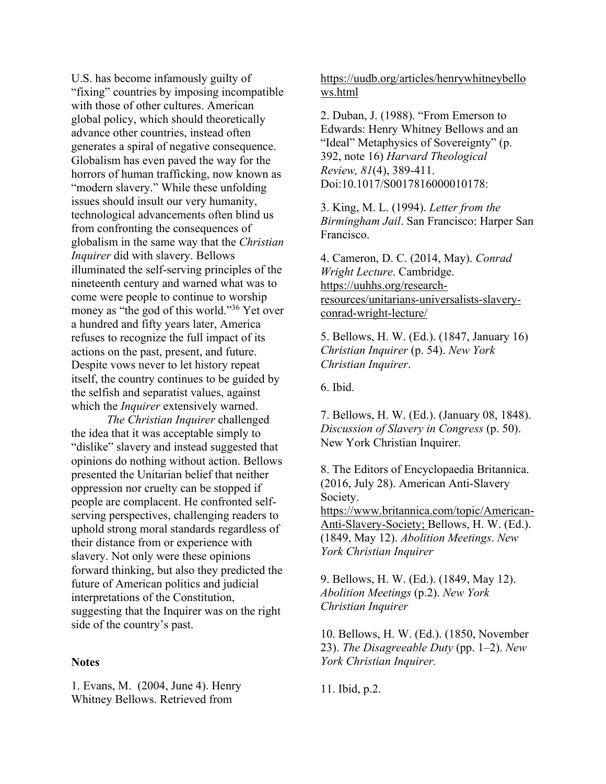U.S. has become infamously guilty of "fixing" countries by imposing incompatible with those of other cultures. American global policy, which should theoretically advance other countries, instead often generates a spiral of negative consequence. Globalism has even paved the way for the horrors of human trafficking, now known as "modern slavery." While these unfolding issues should insult our very humanity, technological advancements often blind us from confronting the consequences of globalism in the same way that the *Christian Inquirer* did with slavery. Bellows illuminated the self-serving principles of the nineteenth century and warned what was to come were people to continue to worship money as "the god of this world."36 Yet over a hundred and fifty years later, America refuses to recognize the full impact of its actions on the past, present, and future. Despite vows never to let history repeat itself, the country continues to be guided by the selfish and separatist values, against which the *Inquirer* extensively warned.

*The Christian Inquirer* challenged the idea that it was acceptable simply to "dislike" slavery and instead suggested that opinions do nothing without action. Bellows presented the Unitarian belief that neither oppression nor cruelty can be stopped if people are complacent. He confronted selfserving perspectives, challenging readers to uphold strong moral standards regardless of their distance from or experience with slavery. Not only were these opinions forward thinking, but also they predicted the future of American politics and judicial interpretations of the Constitution, suggesting that the Inquirer was on the right side of the country's past.

## **Notes**

1. Evans, M. (2004, June 4). Henry Whitney Bellows. Retrieved from

https://uudb.org/articles/henrywhitneybello ws.html

2. Duban, J. (1988). "From Emerson to Edwards: Henry Whitney Bellows and an "Ideal" Metaphysics of Sovereignty" (p. 392, note 16) *Harvard Theological Review, 81*(4), 389-411. Doi:10.1017/S0017816000010178:

3. King, M. L. (1994). *Letter from the Birmingham Jail*. San Francisco: Harper San Francisco.

4. Cameron, D. C. (2014, May). *Conrad Wright Lecture*. Cambridge. https://uuhhs.org/researchresources/unitarians-universalists-slaveryconrad-wright-lecture/

5. Bellows, H. W. (Ed.). (1847, January 16) *Christian Inquirer* (p. 54). *New York Christian Inquirer*.

6. Ibid.

7. Bellows, H. W. (Ed.). (January 08, 1848). *Discussion of Slavery in Congress* (p. 50). New York Christian Inquirer.

8. The Editors of Encyclopaedia Britannica. (2016, July 28). American Anti-Slavery Society. https://www.britannica.com/topic/American-Anti-Slavery-Society; Bellows, H. W. (Ed.).

(1849, May 12). *Abolition Meetings*. *New York Christian Inquirer*

9. Bellows, H. W. (Ed.). (1849, May 12). *Abolition Meetings* (p.2). *New York Christian Inquirer*

10. Bellows, H. W. (Ed.). (1850, November 23). *The Disagreeable Duty* (pp. 1–2). *New York Christian Inquirer.* 

11. Ibid, p.2.